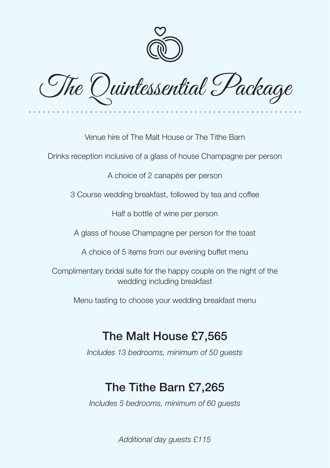

The Quintessential Package

Venue hire of The Malt House or The Tithe Barn

Drinks reception inclusive of a glass of house Champagne per person

A choice of 2 canapés per person

3 Course wedding breakfast, followed by tea and coffee

Half a bottle of wine per person

A glass of house Champagne per person for the toast

A choice of 5 items from our evening buffet menu

Complimentary bridal suite for the happy couple on the night of the wedding including breakfast

Menu tasting to choose your wedding breakfast menu

## The Malt House £7,565

*Includes 13 bedrooms, minimum of 50 guests*

## The Tithe Barn £7,265

*Includes 5 bedrooms, minimum of 60 guests*

*Additional day guests £115*